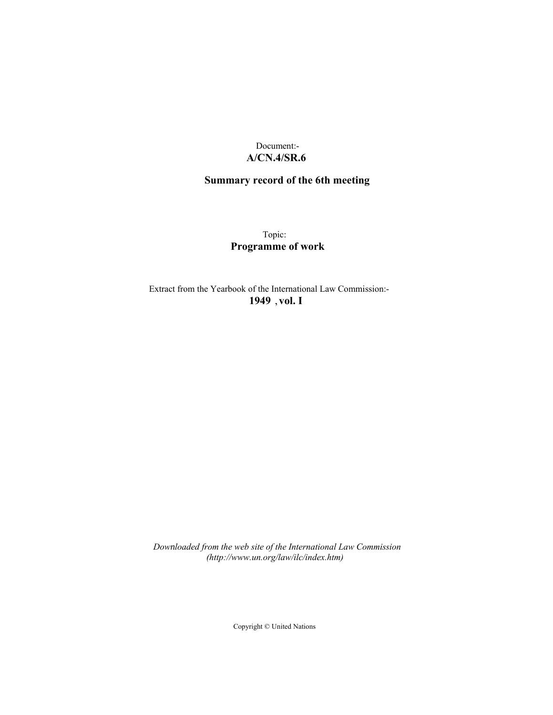# Document:- **A/CN.4/SR.6**

# **Summary record of the 6th meeting**

Topic: **Programme of work**

Extract from the Yearbook of the International Law Commission:- **1949** ,**vol. I**

*Downloaded from the web site of the International Law Commission (http://www.un.org/law/ilc/index.htm)*

Copyright © United Nations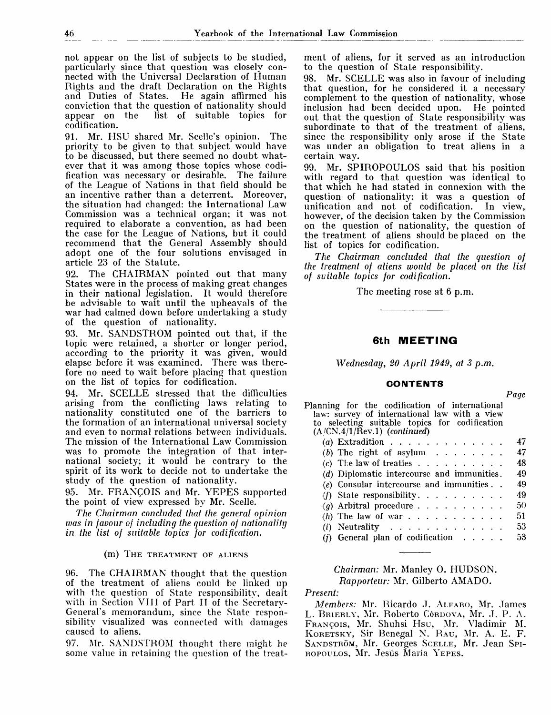not appear on the list of subjects to be studied, particularly since that question was closely connected with the Universal Declaration of Human Rights and the draft Declaration on the Rights and Duties of States. He again affirmed his conviction that the question of nationality should list of suitable topics for codification.

91. Mr. HSU shared Mr. Scelle's opinion. The priority to be given to that subject would have to be discussed, but there seemed no doubt whatever that it was among those topics whose codification was necessary or desirable. The failure of the League of Nations in that field should be an incentive rather than a deterrent. Moreover, the situation had changed: the International Law Commission was a technical organ; it was not required to elaborate a convention, as had been the case for the League of Nations, but it could recommend that the General Assembly should adopt one of the four solutions envisaged in article 23 of the Statute.

The CHAIRMAN pointed out that many States were in the process of making great changes in their national legislation. It would therefore be advisable to wait until the upheavals of the war had calmed down before undertaking a study of the question of nationality.

93. Mr. SANDSTROM pointed out that, if the topic were retained, a shorter or longer period, according to the priority it was given, would elapse before it was examined. There was therefore no need to wait before placing that question on the list of topics for codification.

94. Mr. SCELLE stressed that the difficulties arising from the conflicting laws relating to nationality constituted one of the barriers to the formation of an international universal society and even to normal relations between individuals. The mission of the International Law Commission was to promote the integration of that international society; it would be contrary to the spirit of its work to decide not to undertake the study of the question of nationality.

95. Mr. FRANCOIS and Mr. YEPES supported the point of view expressed by Mr. Scelle.

*The Chairman concluded that the general opinion was in favour of including the question of nationality in the list of suitable topics for codification.*

### (m) THE TREATMENT OF ALIENS

96. The CHAIRMAN thought that the question of the treatment of aliens could be linked up with the question of State responsibility, dealt with in Section VIII of Part II of the Secretary-General's memorandum, since the State responsibility visualized was connected with damages caused to aliens.

97. Mr. SANDSTROM thought there might be some value in retaining the question of the treatment of aliens, for it served as an introduction to the question of State responsibility.

98. Mr. SCELLE was also in favour of including that question, for he considered it a necessary complement to the question of nationality, whose inclusion had been decided upon. He pointed out that the question of State responsibility was subordinate to that of the treatment of aliens, since the responsibility only arose if the State was under an obligation to treat aliens in a certain way.

99. Mr. SPIROPOULOS said that his position with regard to that question was identical to that which he had stated in connexion with the question of nationality: it was a question of unification and not of codification. In view, however, of the decision taken by the Commission on the question of nationality, the question of the treatment of aliens should be placed on the list of topics for codification.

*The Chairman concluded that the question of the treatment of aliens would be placed on the list of suitable topics for codification.*

The meeting rose at 6 p.m.

# **6th MEETING**

*Wednesday, 20 April 1949, at 3 p.m.*

## **CONTENTS**

Planning for the codification of international law: survey of international law with a view to selecting suitable topics for codification (A/CN.4/1/Rev.l) *(continued) (a)* Extradition . . . . . . . . . . . . . 47  $(b)$  The right of asylum  $\ldots \ldots \ldots$  47 (c) The law of treaties  $\ldots$   $\ldots$   $\ldots$   $\ldots$  48 *(d)* Diplomatic intercourse and immunities. 49 (e) Consular intercourse and immunities . . 49 (*f*) State responsibility  $\ldots$ ,  $\ldots$ ,  $\ldots$ , 49 (*g*) Arbitral procedure  $\ldots \ldots \ldots \ldots 50$  $(h)$  The law of war  $\ldots$   $\ldots$   $\ldots$  51 (i) Neutrality  $\ldots$   $\ldots$   $\ldots$   $\ldots$  53 (*i*) General plan of codification  $\ldots$  53

# *Chairman:* Mr. Manley 0. HUDSON. *Rapporteur:* Mr. Gilberto AMADO.

### *Present:*

*Members:* Mr. Ricardo J. ALFARO, Mr. James L. BRIERLY, Mr. Roberto Córdova, Mr. J. P. A. FRANCOIS, Mr. Shuhsi Hsu, Mr. Vladimir M. KORETSKY, Sir Benegal N. RAU, Mr. A. E. F. SANDSTRÖM, Mr. Georges SCELLE, Mr. Jean Spi-ROPOULOS, Mr. Jesús María YEPES.

*Page*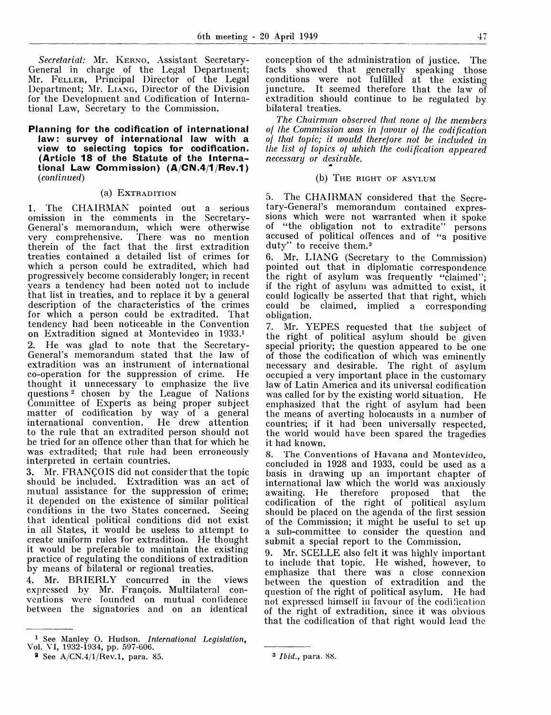*Secretariat:* Mr. KERNO, Assistant Secretary-General in charge of the Legal Department; Mr. FELLER, Principal Director of the Legal Department; Mr. LIANG, Director of the Division for the Development and Codification of International Law, Secretary to the Commission.

## **Planning for the codification of international law: survey of international law with a view to selecting topics for codification. (Article 18 of the Statute of the International Law Commission) (A CN.4/1 Rev.1)** *(continued)*

## (a) EXTRADITION

1. The CHAIRMAN pointed out a serious omission in the comments in the Secretary-General's memorandum, which were otherwise<br>very comprehensive. There was no mention There was no mention therein of the fact that the first extradition treaties contained a detailed list of crimes for which a person could be extradited, which had progressively become considerably longer; in recent years a tendency had been noted not to include that list in treaties, and to replace it by a general description of the characteristics of the crimes for which a person could be extradited. That tendency had been noticeable in the Convention on Extradition signed at Montevideo in 1933.<sup>1</sup> 2. He was glad to note that the Secretary-General's memorandum stated that the law of extradition was an instrument of international co-operation for the suppression of crime. He thought it unnecessary to emphasize the five questions *-* chosen by the League of Nations

Committee of Experts as being proper subject matter of codification by way of a general international convention. He drew attention to the rule that an extradited person should not be tried for an offence other than that for which he was extradited; that rule had been erroneously interpreted in certain countries.

3. Mr. FRANQOIS did not consider that the topic should be included. Extradition was an act of mutual assistance for the suppression of crime; it depended on the existence of similar political conditions in the two States concerned. Seeing that identical political conditions did not exist in all States, it would be useless to attempt to create uniform rules for extradition. He thought it would be preferable to maintain the existing practice of regulating the conditions of extradition by means of bilateral or regional treaties.

4. Mr. BRIERLY concurred in the views expressed by Mr. François. Multilateral conventions were founded on mutual confidence between the signatories and on an identical

conception of the administration of justice. The facts showed that generally speaking those conditions were not fulfilled at the existing juncture. It seemed therefore that the law of extradition should continue to be regulated by bilateral treaties.

*The Chairman observed that none of the members of the Commission was in favour of the codification of that topic; it would therefore not be included in the list of topics of which the codification appeared necessary or desirable.*

## (b) THE RIGHT OF ASYLUM

5. The CHAIRMAN considered that the Secretary-General's memorandum contained expressions which were not warranted when it spoke of "the obligation not to extradite" persons accused of political offences and of "a positive duty" to receive them.<sup>3</sup>

6. Mr. LIANG (Secretary to the Commission) pointed out that in diplomatic correspondence the right of asylum was frequently "claimed"; if the right of asylum was admitted to exist, it could logically be asserted that that right, which could be claimed, implied a corresponding obligation.

7. Mr. YEPES requested that the subject of the right of political asylum should be given special priority; the question appeared to be one of those the codification of which was eminently necessary and desirable. The right of asylum occupied a very important place in the customary law of Latin America and its universal codification was called for by the existing world situation. He emphasized that the right of asylum had been the means of averting holocausts in a number of countries; if it had been universally respected, the world would have been spared the tragedies it had known.

8. The Conventions of Havana and Montevideo, concluded in 1928 and 1933, could be used as a basis in drawing up an important chapter of international law which the world was anxiously awaiting. He therefore proposed that the codification of the right of political asylum should be placed on the agenda of the first session of the Commission; it might be useful to set up a sub-committee to consider the question and submit a special report to the Commission.

9. Mr. SCELLE also felt it was highly important to include that topic. He wished, however, to emphasize that there was a close connexion between the question of extradition and the question of the right of political asylum. He had not expressed himself in favour of the codification of the right of extradition, since it was obvious that the codification of that right would lead the

<sup>1</sup> See Manley O. Hudson. *International Legislation,* Vol. VI, 1932-1934, pp. 597-606.

<sup>8</sup> See A/CN.4/1/Rev.l, para. 85.

<sup>3</sup>  *Ibid.,* para. 88.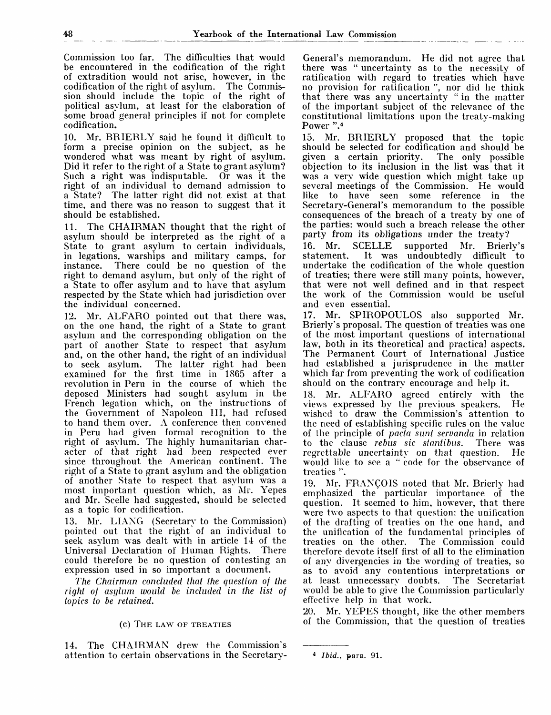Commission too far. The difficulties that would be encountered in the codification of the right of extradition would not arise, however, in the codification of the right of asylum. The Commission should include the topic of the right of political asylum, at least for the elaboration of some broad general principles if not for complete codification.

10. Mr. BRIERLY said he found it difficult to form a precise opinion on the subject, as he wondered what was meant by right of asylum. Did it refer to the right of a State to grant asylum? Such a right was indisputable. Or was it the right of an individual to demand admission to a State? The latter right did not exist at that time, and there was no reason to suggest that it should be established.

The CHAIRMAN thought that the right of asylum should be interpreted as the right of a State to grant asylum to certain individuals, in legations, warships and military camps, for instance. There could be no question of the right to demand asylum, but only of the right of a State to offer asylum and to have that asylum respected by the State which had jurisdiction over the individual concerned.

12. Mr. ALFARO pointed out that there was, on the one hand, the right of a State to grant asylum and the corresponding obligation on the part of another State to respect that asylum and, on the other hand, the right of an individual<br>to seek asylum. The latter right had been The latter right had been examined for the first time in 1865 after a revolution in Peru in the course of which the deposed Ministers had sought asylum in the French legation which, on the instructions of the Government of Napoleon III, had refused to hand them over. A conference then convened in Peru had given formal recognition to the right of asylum. The highly humanitarian character of that right had been respected ever since throughout the American continent. The right of a State to grant asylum and the obligation of another State to respect that asyhim was a most important question which, as Mr. Yepes and Mr. Scelle had suggested, should be selected as a topic for codification.

13. Mr. LIANG (Secretary to the Commission) pointed out that the right of an individual to seek asylum was dealt with in article 14 of the Universal Declaration of Human Rights. There could therefore be no question of contesting an expression used in so important a document.

*The Chairman concluded that the question of the right of asylum would be included in the list of topics to be retained.*

### (c) THE LAW OF TREATIES

14. The CHAIRMAN drew the Commission's attention to certain observations in the Secretary-

General's memorandum. He did not agree that there was " uncertainty as to the necessity of ratification with regard to treaties which have no provision for ratification ", nor did he think that there was any uncertainty " in the matter of the important subject of the relevance of the constitutional limitations upon the treaty-making Power ".<sup>4</sup>

15. Mr. BRIERLY proposed that the topic should be selected for codification and should be given a certain priority. The only possible objection to its inclusion in the list was that it was a very wide question which might take up several meetings of the Commission. He would like to have seen some reference in the Secretary-General's memorandum to the possible consequences of the breach of a treaty by one of the parties: would such a breach release the other party from its obligations under the treaty?

16. Mr. SCELLE supported Mr. Brierly's It was undoubtedly difficult to undertake the codification of the whole question of treaties; there were still many points, however, that were not well defined and in that respect the work of the Commission would be useful and even essential.

17. Mr. SPIROPOULOS also supported Mr. Brierly's proposal. The question of treaties was one of the most important questions of international law, both in its theoretical and practical aspects. The Permanent Court of International Justice had established a jurisprudence in the matter which far from preventing the work of codification should on the contrary encourage and help it.

18. Mr. ALFARO agreed entirely with the views expressed by the previous speakers. He wished to draw the Commission's attention to the need of establishing specific rules on the value of Ihe principle of *pacta sunt servanda* in relation to the clause *rebus sic stantibus.* There was regrettable uncertainty on that question. He would like to see a "code for the observance of treaties ".

19. Mr. FRANCOIS noted that Mr. Brierly had emphasized the particular importance of the question. It seemed to him, however, that there were two aspects to that question: the unification of the drafting of treaties on the one hand, and the unification of the fundamental principles of treaties on the other. The Commission could therefore devote itself first of all to the elimination of any divergencies in the wording of treaties, so as to avoid any contentious interpretations or at least unnecessary doubts. The Secretariat would be able to give the Commission particularly effective help in that work.

20. Mr. YEPES thought, like the other members of the Commission, that the question of treaties

<sup>4</sup>  *Ibid.,* para. 91.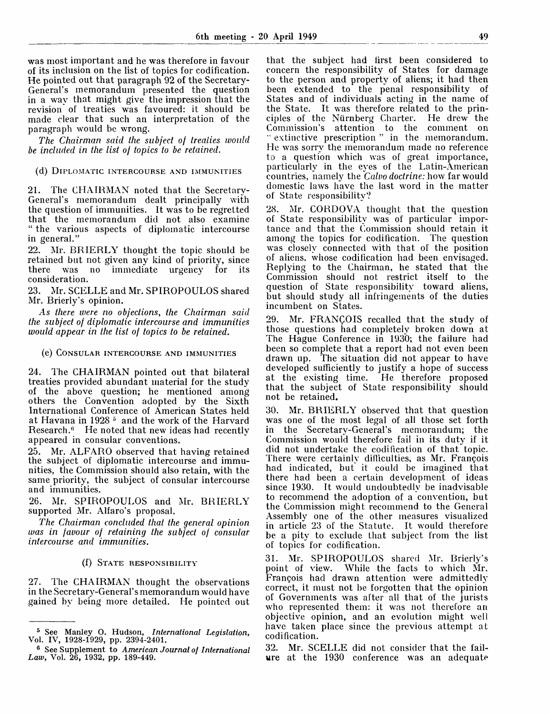was most important and he was therefore in favour of its inclusion on the list of topics for codification. He pointed out that paragraph 92 of the Secretary-General's memorandum presented the question in a way that might give the impression that the revision of treaties was favoured: it should be made clear that such an interpretation of the paragraph would be wrong.

*The Chairman said the subject of treaties would be included in the list of topics to be retained.*

(d) DIPLOMATIC INTERCOURSE AND IMMUNITIES

21. The CHAIRMAN noted that the Secretary-General's memorandum dealt principally with the question of immunities. It was to be regretted that the memorandum did not also examine " the various aspects of diplomatic intercourse in general."

22. Mr. BRIERLY thought the topic should be retained but not given any kind of priority, since there was no immediate urgency for its consideration.

23. Mr. SCELLE and Mr. SPIROPOULOS shared Mr. Brierly's opinion.

*As there were no objections, the Chairman said the subject of diplomatic intercourse and immunities would appear in the list of topics to be retained.*

## (e) CONSULAR INTERCOURSE AND IMMUNITIES

24. The CHAIRMAN pointed out that bilateral treaties provided abundant material for the study of the above question; he mentioned among others the Convention adopted by the Sixth International Conference of American States held at Havana in 1928 <sup>5</sup> and the work of the Harvard Research.<sup>6</sup> He noted that new ideas had recently appeared in consular conventions.

25. Mr. ALFARO observed that having retained the subject of diplomatic intercourse and immunities, the Commission should also retain, with the same priority, the subject of consular intercourse and immunities.

26. Mr. SPIROPOULOS and Mr. BRIERLY supported Mr. Alfaro's proposal.

*The Chairman concluded that the general opinion was in favour of retaining the subject of consular intercourse and immunities.*

## (f) STATE RESPONSIBILITY

27. The CHAIRMAN thought the observations in the Secretary-General's memorandum would have gained by being more detailed. He pointed out that the subject had first been considered to concern the responsibility of States for damage to the person and property of aliens; it had then been extended to the penal responsibility of States and of individuals acting in the name of the State. It was therefore related to the principles of the Niirnberg Charter. He drew the Commission's attention to the comment on " extinctive prescription " in the memorandum. He was sorry the memorandum made no reference to a question which was of great importance, particularly in the eyes of the Latin-American countries, namely the *Calvo doctrine:* how far would domestic laws have the last word in the matter of State responsibility?

28. Mr. CORDOVA thought that the question of State responsibility was of particular importance and that the Commission should retain it among the topics for codification. The question was closely connected with that of the position of aliens, whose codification had been envisaged. Replying to the Chairman, he stated that the Commission should not restrict itself to the question of State responsibility toward aliens, but should study all infringements of the duties incumbent on States.

29. Mr. FRANQOIS recalled that the study of those questions had completely broken down at The Hague Conference in 1930; the failure had been so complete that a report had not even been drawn up. The situation did not appear to have developed sufficiently to justify a hope of success at the existing time. He therefore proposed that the subject of State responsibility should not be retained.

30. Mr. BRIERLY observed that that question was one of the most legal of all those set forth in the Secretary-General's memorandum; the Commission would therefore fail in its duty if it did not undertake the codification of that topic. There w r ere certainly difficulties, as Mr. Frangois had indicated, but it could be imagined that there had been a certain development of ideas since 1930. It would undoubtedly be inadvisable to recommend the adoption of a convention, but the Commission might recommend to the General Assembly one of the other measures visualized in article 23 of the Statute. It would therefore be a pity to exclude that subject from the list of topics for codification.

31. Mr. SPIROPOULOS shared Mr. Brierly's point of view. While the facts to which Mr. Frangois had drawn attention were admittedly correct, it must not be forgotten that the opinion of Governments was after all that of the jurists who represented them: it was not therefore an objective opinion, and an evolution might well have taken place since the previous attempt at codification.

32. Mr. SCELLE did not consider that the failure at the 1930 conference was an adequate

<sup>5</sup> See Manley O. Hudson, *International Legislation,* Vol. IV, 1928-1929, pp. 2394-2401.

<sup>6</sup> See Supplement to *American Journal of International Law,* Vol. 26, 1932, pp. 189-449.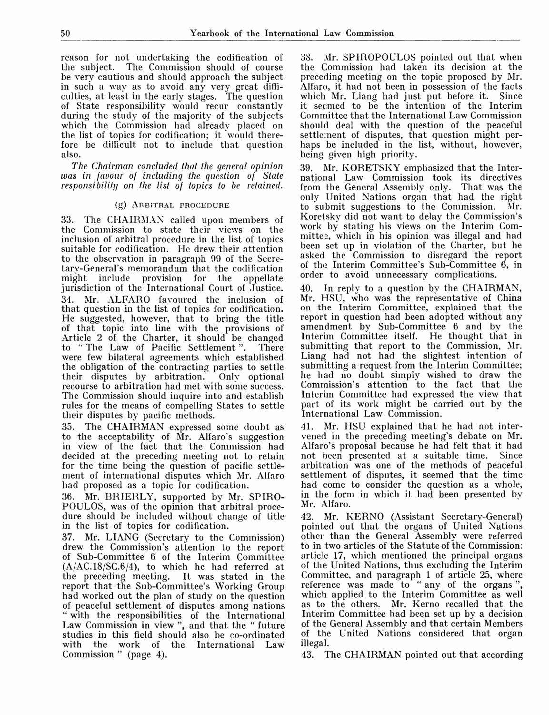reason for not undertaking the codification of the subject. The Commission should of course be very cautious and should approach the subject in such a way as to avoid any very great difficulties, at least in the early stages. The question of State responsibility would recur constantly during the study of the majority of the subjects which the Commission had already placed on the list of topics for codification; it would therefore be difficult not to include that question also.

*The Chairman concluded that the general opinion was in favour of including the question of State responsibility on the list of topics to be retained.*

## (g) ARBITRAL PROCEDURE

33. The CHAIRMAN called upon members of the Commission to state their views on the inclusion of arbitral procedure in the list of topics suitable for codification. He drew their attention to the observation in paragraph 99 of the Sccre-Lary-General's memorandum that the codification might include provision for the appellate jurisdiction of the International Court of Justice. 34. Mr. ALFARO favoured the inclusion of that question in the list of topics for codification. He suggested, however, that to bring the title of that topic into line with the provisions of Article 2 of the Charter, it should be changed to "The Law of Pacific Settlement". There were few bilateral agreements which established the obligation of the contracting parties to settle their disputes by arbitration. Only optional recourse to arbitration had met with some success. The Commission should inquire into and establish rules for the means of compelling States to settle their disputes by pacific methods.

35. The CHAIRMAN expressed some doubt as to the acceptability of Mr. Alfaro's suggestion in view of the fact that the Commission had decided at the preceding meeting not to retain for the time being the question of pacific settlement of international disputes which Mr. Alfaro had proposed as a topic for codification.

36. Mr. RRIERLY, supported by Mr. SPIRO-POULOS, was of the opinion that arbitral procedure should be included without change of title in the list of topics for codification.

37. Mr. LIANG (Secretary to the Commission) drew the Commission's attention to the report of Sub-Committee 6 of the Interim Committee (A/AC.18/SC.6/4), to which he had referred at the preceding meeting. It was stated in the report that the Sub-Committee's Working Group had worked out the plan of study on the question of peaceful settlement of disputes among nations " with the responsibilities of the International Law Commission in view ", and that the " future studies in this field should also be co-ordinated the work of the International Law Commission " (page 4).

38. Mr. SP1ROPOULOS pointed out that when the Commission had taken its decision at the preceding meeting on the topic proposed by Mr. Alfaro, it had not been in possession of the facts which Mr. Liang had just put before it. Since it seemed to be the intention of the Interim Committee that the International Law Commission should deal with the question of the peaceful settlement of disputes, that question might perhaps be included in the list, without, however, being given high priority.

39. Mr. KORETSKY emphasized that the International Law Commission took its directives<br>from the General Assembly only. That was the from the General Assembly only. only United Nations organ that had the right<br>to submit suggestions to the Commission. Mr. to submit suggestions to the Commission. Koretsky did not want to delay the Commission's work by stating his views on the Interim Committee, which in his opinion was illegal and had been set up in violation of the Charter, but he asked the Commission to disregard the report of the Interim Committee's Sub-Committee 6, in order to avoid unnecessary complications.

40. In reply to a question by the CHAIRMAN, Mr. HSU, who was the representative of China on the Interim Committee, explained that the report in question had been adopted without any amendment by Sub-Committee 6 and by the Interim Committee itself. He thought that in submitting that report to the Commission, Mr. Liang had not had the slightest intention of submitting a request from the Interim Committee; he had no doubt simply wished to draw the Commission's attention to the fact that the Interim Committee had expressed the view that part of its work might be carried out by the International Law Commission.

41. Mr. HSU explained that he had not intervened in the preceding meeting's debate on Mr. Alfaro's proposal because he had felt that it had not been presented at a suitable time. arbitration was one of the methods of peaceful settlement of disputes, it seemed that the time had come to consider the question as a whole, in the form in which it had been presented by Mr. Alfaro.

42. Mr. KERNO (Assistant Secretary-General) pointed out that the organs of United Nations other than the General Assembly were referred to in two articles of the Statute of the Commission: article 17, which mentioned the principal organs of the United Nations, thus excluding the Interim Committee, and paragraph 1 of article 25, where reference was made to " any of the organs", which applied to the Interim Committee as well as to the others. Mr. Kerno recalled that the Interim Committee had been set up by a decision of the General Assembly and that certain Members of the United Nations considered that organ illegal.

43. The CHAIRMAN pointed out that according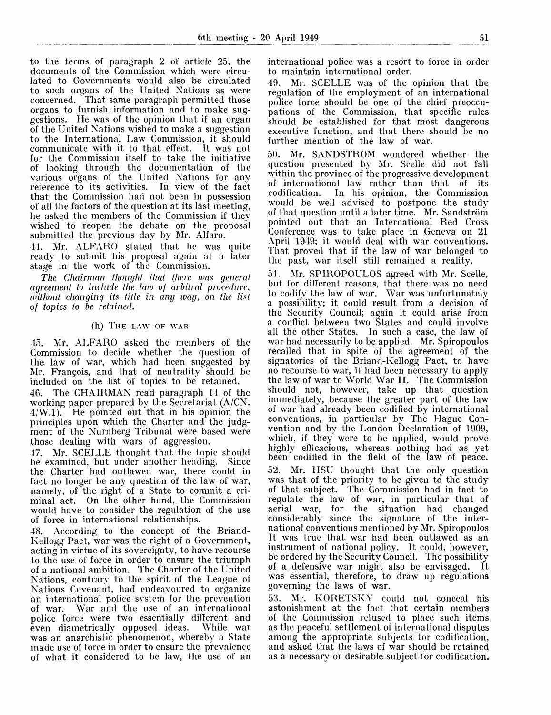to the terms of paragraph 2 of article 25, the documents of the Commission which were circulated to Governments would also be circulated to such organs of the United Nations as were concerned. That same paragraph permitted those organs to furnish information and to make suggestions. He was of the opinion that if an organ of the United Nations wished to make a suggestion to the International Law Commission,  $i\tilde{\mathbf{r}}$  should communicate with it to that effect. It was not for the Commission itself to take the initiative of looking through the documentation of the various organs of the United Nations for any reference to its activities. In view of the fact that the Commission had not been in possession of all the factors of the question at its last meeting, he asked the members of the Commission if they wished to reopen the debate on the proposal submitted the previous day by Mr. Alfaro.

41. Mr. ALFARO stated that he was quite ready to submit his proposal again at a later stage in the work of the Commission.

*The Chairman thought that there was general agreement to include the law of arbitral procedure, without changing its title in any way, on the list of topics to be retained.*

## (h) THE LAW OF WAR

•15. Mr. ALFARO asked the members of the Commission to decide whether the question of the law of war, which had been suggested by Mr. Francois, and that of neutrality should be included on the list of topics to be retained.

46. The CHAIRMAN read paragraph 14 of the working paper prepared by the Secretariat (A/CN. 4/W.l). He pointed out that in his opinion the principles upon which the Charter and the judgment of the Nürnberg Tribunal were based were those dealing with wars of aggression.

17. Mr. SCELLE thought that the topic should be examined, but under another heading. Since the Charter had outlawed war, there could in fact no longer be any question of the law of war, namely, of the right of a State to commit a criminal act. On the other hand, the Commission would have to consider the regulation of the use of force in international relationships.

48. According to the concept of the Briand-Kellogg Pact, war was the right of a Government, acting in virtue of its sovereignty, to have recourse to the use of force in order to ensure the triumph of a national ambition. The Charter of the United Nations, contrary to the spirit of the League of Nations Covenant, had endeavoured to organize an international police system for the prevention of war. War and the use of an international police force were two essentially different and even diametrically opposed ideas. While war was an anarchistic phenomenon, whereby a State made use of force in order to ensure the prevalence of what it considered to be law, the use of an international police was a resort to force in order to maintain international order.

49. Mr. SCELLE was of the opinion that the regulation of the employment of an international police force should be one of the chief preoccupations of the Commission, that specific rules should be established for that most dangerous executive function, and that there should be no further mention of the law of war.

50. Mr. SANDSTROM wondered whether the question presented by Mr. Scelle did not fall within the province of the progressive development of international law<sup>r</sup> rather than that of its codification. In his opinion, the Commission would be well advised to postpone the study of that question until a later time. Mr. Sandstrom pointed out that an International Red Cross Conference was to take place in Geneva on 21 April 1949; it would deal with war conventions. That proved that if the law of war belonged to the past, war itself still remained a reality.

51. Mr. SPIROPOULOS agreed with Mr. Scelle, but for different reasons, that there was no need to codify the law of war. War was unfortunately a possibility; it could result from a decision of the Security Council; again it could arise from a conflict between two States and could involve all the other States. In such a case, the law of war had necessarily to be applied. Mr. Spiropoulos recalled that in spite of the agreement of the signatories of the Briand-Kellogg Pact, to have no recourse to war, it had been necessary to apply the law of war to World War II. The Commission should not, however, take up that question immediately, because the greater part of the law of war had already been codified by international conventions, in particular by The Hague Convention and by the London Declaration of 1909, which, if they were to be applied, would prove highly efficacious, whereas nothing had as yet been codified in the field of the law of peace.

52. Mr. HSU thought that the only question was that of the priority to be given to the study of that subject. The Commission had in fact to regulate the law of war, in particular that of aerial war, for the situation had changed considerably since the signature of the international conventions mentioned by Mr. Spiropoulos It was true that war had been outlawed as an instrument of national policy. It could, however, be ordered by the Security Council. The possibility of a defensive war might also be envisaged. It was essential, therefore, to draw up regulations governing the laws of war.

53. Mr. KORETSKY could not conceal his astonishment at the fact that certain members of the Commission refused to place such items as the peaceful settlement of international disputes among the appropriate subjects for codification, and asked that the laws of war should be retained as a necessary or desirable subject tor codification.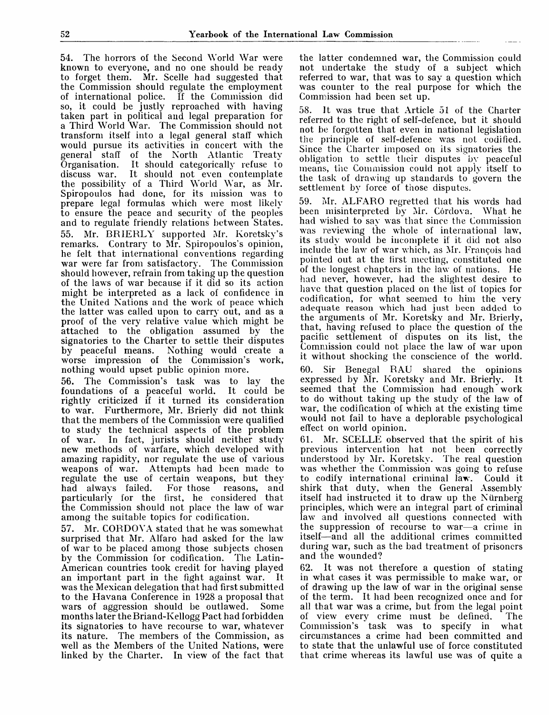54. The horrors of the Second World War were known to everyone, and no one should be ready to forget them. Mr. Scelle had suggested that the Commission should regulate the employment of international police. If the Commission did so, it could be justly reproached with having taken part in political and legal preparation for a Third World War. The Commission should not transform itself into a legal general staff which would pursue its activities in concert with the general staff of the North Atlantic Treaty Organisation. It should categorically refuse to discuss war. It should not even contemplate the possibility of a Third World War, as Mr. Spiropoulos had done, for its mission was to prepare legal formulas which were most likely to ensure the peace and security of the peoples and to regulate friendly relations between States. 55. Mr. BRIERLY supported Mr. Koretsky's remarks. Contrary to Mr. Spiropoulos's opinion, he felt that international conventions regarding war were far from satisfactory. The Commission should however, refrain from taking up the question of the laws of war because if it did so its action might be interpreted as a lack of confidence in the United Nations and the work of peace which the latter was called upon to carry out, and as a proof of the very relative value which might be attached to the obligation assumed by the signatories to the Charter to settle their disputes by peaceful means. Nothing would create a worse impression of the Commission's work, nothing would upset public opinion more.

56. The Commission's task was to lay the foundations of a peaceful world. It could be rightly criticized if it turned its consideration to war. Furthermore, Mr. Brierly did not think that the members of the Commission were qualified to study the technical aspects of the problem of war. In fact, jurists should neither study new methods of warfare, which developed with amazing rapidity, nor regulate the use of various weapons of war. Attempts had been made to regulate the use of certain weapons, but they had always failed. For those reasons, and particularly for the first, he considered that the Commission should not place the law of war among the suitable topics for codification.

57. Mr. CORDOVA stated that he was somewhat surprised that Mr. Alfaro had asked for the law of war to be placed among those subjects chosen by the Commission for codification. The Latin-American countries took credit for having played an important part in the fight against war. It was the Mexican delegation that had first submitted to the Havana Conference in 1928 a proposal that wars of aggression should be outlawed. Some months later the Briand-Kellogg Pact had forbidden its signatories to have recourse to war, whatever its nature. The members of the Commission, as well as the Members of the United Nations, were linked by the Charter. In view of the fact that

the latter condemned war, the Commission could not undertake the study of a subject which referred to war, that was to say a question which was counter to the real purpose for which the Commission had been set up.

58. ]t was true that Article 51 of the Charter referred to the right of self-defence, but it should not be forgotten that even in national legislation the principle of self-defence was not codified. Since the Charter imposed on its signatories the obligation to settle their disputes by peaceful means, the Commission could not apply itself to the task of drawing up standards to govern the settlement by force of those disputes.

59. Mr. ALFARO regretted that his words had been misinterpreted by Mr. Córdova. What he had wished to say was that since the Commission was reviewing the whole of international law, its study would be incomplete if it did not also include the law of war which, as Mr. Francois had pointed out at the first meeting, constituted one of the longest chapters in the law of nations. He had never, however, had the slightest desire to have that question placed on the list of topics for codification, for what seemed to him the very adequate reason which had just been added to the arguments of Mr. Koretsky and Mr. Brierly, that, having refused to place the question of the pacific settlement of disputes on its list, the Commission could not place the law of war upon it without shocking the conscience of the world.

60. Sir Benegal RAU shared the opinions expressed by Mr. Koretsky and Mr. Brierly. It seemed that the Commission had enough work to do without taking up the study of the law of war, the codification of which at the existing time would not fail to have a deplorable psychological effect on world opinion.

61. Mr. SCELLE observed that the spirit of his previous intervention hat not been correctly understood by Mr. Koretsky. The real question was whether the Commission was going to refuse to codify international criminal law. Could it shirk that duty, when the General Assembly itself had instructed it to draw up the Niirnberg principles, which were an integral part of criminal law and involved all questions connected with the suppression of recourse to war—a crime in itself-—and all the additional crimes committed during war, such as the bad treatment of prisoners and the wounded?

62. It was not therefore a question of stating in what cases it was permissible to make war, or of drawing up the law of war in the original sense of the term. It had been recognized once and for all that war was a crime, but from the legal point<br>of view every crime must be defined. The of view every crime must be defined. Commission's task was to specify in what circumstances a crime had been committed and to state that the unlawful use of force constituted that crime whereas its lawful use was of quite a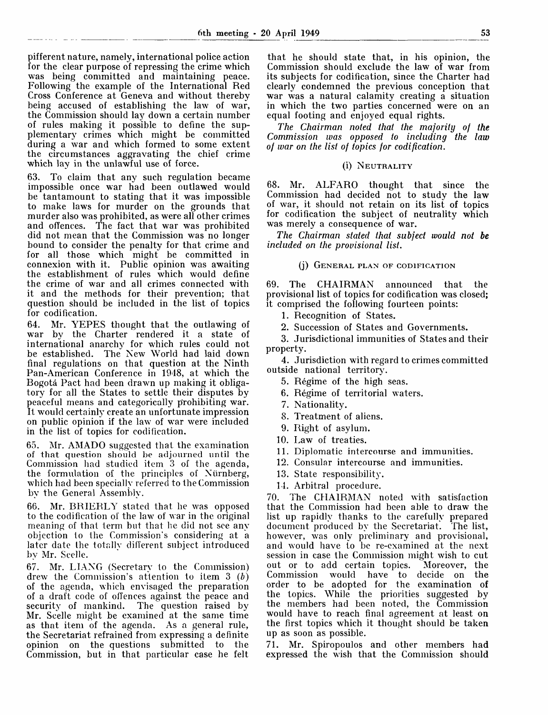pifferent nature, namely, international police action for the clear purpose of repressing the crime which was being committed and maintaining peace. Following the example of the International Red Cross Conference at Geneva and without thereby being accused of establishing the law of war, the Commission should lay down a certain number of rules making it possible to define the supplementary crimes which might be committed during a war and which formed to some extent the circumstances aggravating the chief crime which lay in the unlawful use of force.

63. To claim that any such regulation became impossible once war had been outlawed would be tantamount to stating that it was impossible to make laws for murder on the grounds that murder also was prohibited, as were all other crimes and offences. The fact that war was prohibited did not mean that the Commission was no longer bound to consider the penalty for that crime and for all those which might be committed in connexion with it. Public opinion was awaiting the establishment of rules which would define the crime of war and all crimes connected with it and the methods for their prevention; that question should be included in the list of topics for codification.

64. Mr. YEPES thought that the outlawing of war by the Charter rendered it a state of international anarchy for which rules could not be established. The New World had laid down final regulations on that question at the Ninth Pan-American Conference in 1948, at which the Bogota Pact had been drawn up making it obligatory for all the States to settle their disputes by peaceful means and categorically prohibiting war. It would certainly create an unfortunate impression on public opinion if the law of war were included in the list of topics for codification.

65. Mr. AMADO suggested that the examination of that question should be adjourned until the Commission had studied item 3 of the agenda, the formulation of the principles of Niirnberg, which had been specially referred to the Commission by the General Assembly.

66. Mr. BRIERLY stated that he was opposed to the codification of the law of war in the original meaning of that term but that he did not see any objection to the Commission's considering at a later date the totally different subject introduced by Mr. Scclle.

67. Mr. LIANG (Secretary lo the Commission) drew the Commission's attention to item 3 *(b)* of the agenda, which envisaged the preparation of a draft code of offences against the peace and security of mankind. The question raised by Mr. Scelle might be examined at the same time as that item of the agenda. As a general rule, the Secretariat refrained from expressing a definite opinion on the questions submitted to the Commission, but in that particular case he felt

that he should state that, in his opinion, the Commission should exclude the law of war from its subjects for codification, since the Charter had clearly condemned the previous conception that war was a natural calamity creating a situation in which the two parties concerned were on an equal footing and enjoyed equal rights.

*The Chairman noted that the majority of the Commission was opposed to including the law of war on the list of topics for codification.*

## (i) NEUTRALITY

68. Mr. ALFARO thought that since the Commission had decided not to study the law of war, it should not retain on its list of topics for codification the subject of neutrality which was merely a consequence of war.

*The Chairman stated that subject would not be included on the provisional list.*

## (j) GENERAL PLAN OF CODIFICATION

69. The CHAIRMAN announced that the provisional list of topics for codification was closed; it comprised the following fourteen points:

1. Recognition of States.

2. Succession of States and Governments.

3. Jurisdictional immunities of States and their property.

4. Jurisdiction with regard to crimes committed outside national territory.

- 5. Regime of the high seas.
- 6. Regime of territorial waters.
- 7. Nationality.
- 8. Treatment of aliens.
- 9. Right of asylum.
- 10. Law of treaties.
- 11. Diplomatic intercourse and immunities.
- 12. Consular intercourse and immunities.
- 13. State responsibility.
- 14. Arbitral procedure.

70. The CHAIRMAN noted with satisfaction that the Commission had been able to draw the list up rapidly thanks to the carefully prepared document produced by the Secretariat. The list, how<sup>r</sup> ever, was only preliminary and provisional, and would have to be re-examined at the next session in case the Commission might wish to cut out or to add certain topics.<br>Commission would have to have to decide on the order to be adopted for the examination of the topics. While the priorities suggested by the members had been noted, the Commission would have to reach final agreement at least on the first topics which it thought should be taken up as soon as possible.

71. Mr. Spiropoulos and other members had expressed the wish that the Commission should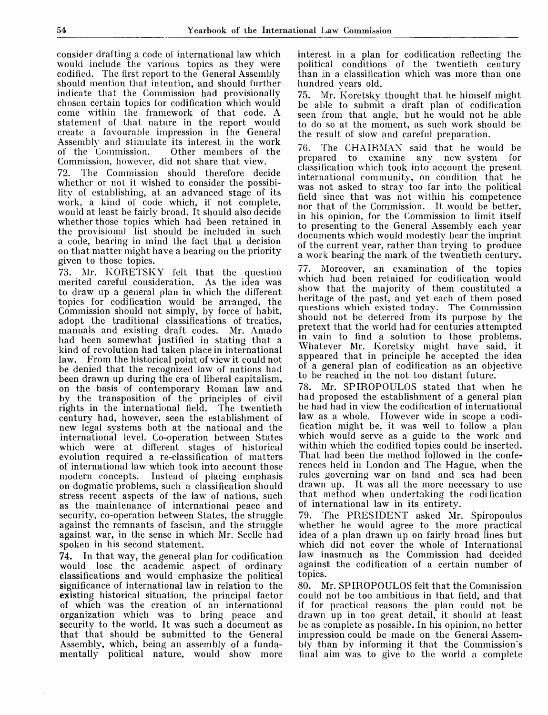consider drafting a code of international law which would include the various topics as they were codified. The first report to the General Assembly should mention that intention, and should further indicate that the Commission had provisionally chosen certain topics for codification which would come within the framework of that code. A statement of that nature in the report would create a favourable impression in the General Assembly and stimulate its interest in the work<br>of the Commission. Other members of the Other members of the Commission, however, did not share that view.

72. The Commission should therefore decide whether or not it wished to consider the possibility of establishing, at an advanced stage of its work, a kind of code which, if not complete, would at least be fairly broad. It should also decide whether those topics which had been retained in the provisional list should be included in such a code, bearing in mind the fact that a decision on that matter might have a bearing on the priority given to those topics.

73. Mr. KORETSKY felt that the question merited careful consideration. As the idea was to draw up a general plan in which the different topics for codification would be arranged, the Commission should not simply, by force of habit, adopt the traditional classifications of treaties, manuals and existing draft codes. Mr. Amado had been somewhat justified in stating that a kind of revolution had taken place in international law. From the historical point of view it could not be denied that the recognized law of nations had been drawn up during the era of liberal capitalism, on the basis of contemporary Roman law and by the transposition of the principles of civil rights in the international field. The twentieth century had, however, seen the establishment of new legal systems both at the national and the international level. Co-operation between States which were at different stages of historical evolution required a re-classification of matters of international law which took into account those modern concepts. Instead of placing emphasis on dogmatic problems, such a classification should stress recent aspects of the law of nations, such as the maintenance of international peace and security, co-operation between States, the struggle against the remnants of fascism, and the struggle against war, in the sense in which Mr. Scelle had spoken in his second statement.

74. In that way, the general plan for codification would lose the academic aspect of ordinary classifications and would emphasize the political significance of international law in relation to the existing historical situation, the principal factor of which was the creation of an international organization which was to bring peace and security to the world. It was such a document as that that should be submitted to the General Assembly, which, being an assembly of a fundamentally political nature, would show more

interest in a plan for codification reflecting the political conditions of the twentieth century than in a classification which was more than one hundred years old.

75. Mr. Koretsky thought that he himself might be able to submit a draft plan of codification seen from that angle, but he would not be able to do so at the moment, as such work should be the result of slow and careful preparation.

76. The CHAIRMAN said that he would be prepared to examine any new system for classification which took into account the present international community, on condition that he was not asked to stray too far into the political field since that was not within his competence nor that of the Commission. It would be better, in his opinion, for the Commission to limit itself to presenting to the General Assembly each year documents which would modestly bear the imprint of the current year, rather than trying to produce a work bearing the mark of the twentieth century.

77. Moreover, an examination of the topics which had been retained for codification would show that the majority of them constituted a heritage of the past, and yet each of them posed questions which existed today. The Commission should not be deterred from its purpose by the pretext that the world had for centuries attempted in vain to find a solution to those problems. Whatever Mr. Koretsky might have said, it appeared that in principle he accepted the idea of a general plan of codification as an objective to be reached in the not too distant future.

78. Mr. SPIROPOULOS stated that when he had proposed the establishment of a general plan he had had in view the codification of international law as a whole. However wide in scope a codification might be, it was well to follow a plan which would serve as a guide to the work and within which the codified topics could be inserted. That had been the method followed in the conferences held in London and The Hague, when the rules governing war on land and sea had been drawn up. It was all the more necessary to use that method when undertaking the codification of international law in its entirety.

79. The PRESIDENT asked Mr. Spiropoulos whether he would agree to the more practical idea of a plan drawn up on fairly broad lines but which did not cover the whole of International law inasmuch as the Commission had decided against the codification of a certain number of topics.

80. Mr. SPIROPOULOS felt that the Commission could not be too ambitious in that field, and that if for practical reasons the plan could not be drawn up in too great detail, it should at least be as complete as possible. In his opinion, no better impression could be made on the General Assembly than by informing it that the Commission's final aim was to give to the world a complete